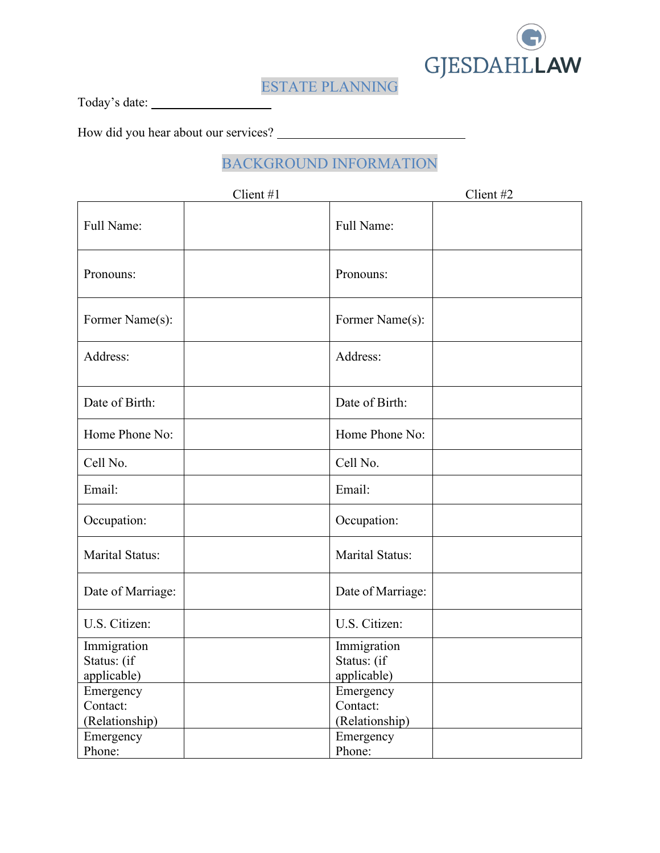

ESTATE PLANNING

Today's date:

How did you hear about our services?

# BACKGROUND INFORMATION

|                                           | Client #1 |                                           | Client #2 |
|-------------------------------------------|-----------|-------------------------------------------|-----------|
| Full Name:                                |           | Full Name:                                |           |
| Pronouns:                                 |           | Pronouns:                                 |           |
| Former Name(s):                           |           | Former Name(s):                           |           |
| Address:                                  |           | Address:                                  |           |
| Date of Birth:                            |           | Date of Birth:                            |           |
| Home Phone No:                            |           | Home Phone No:                            |           |
| Cell No.                                  |           | Cell No.                                  |           |
| Email:                                    |           | Email:                                    |           |
| Occupation:                               |           | Occupation:                               |           |
| <b>Marital Status:</b>                    |           | <b>Marital Status:</b>                    |           |
| Date of Marriage:                         |           | Date of Marriage:                         |           |
| U.S. Citizen:                             |           | U.S. Citizen:                             |           |
| Immigration<br>Status: (if<br>applicable) |           | Immigration<br>Status: (if<br>applicable) |           |
| Emergency<br>Contact:<br>(Relationship)   |           | Emergency<br>Contact:<br>(Relationship)   |           |
| Emergency<br>Phone:                       |           | Emergency<br>Phone:                       |           |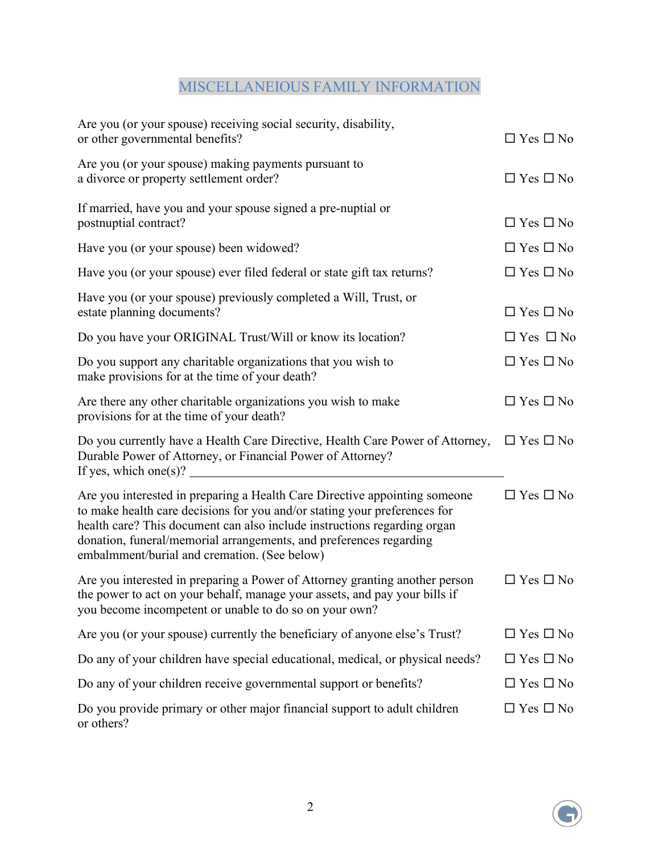# MISCELLANEIOUS FAMILY INFORMATION

| Are you (or your spouse) receiving social security, disability,<br>or other governmental benefits?                                                                                                                                                                                                                                                        | $\Box$ Yes $\Box$ No |
|-----------------------------------------------------------------------------------------------------------------------------------------------------------------------------------------------------------------------------------------------------------------------------------------------------------------------------------------------------------|----------------------|
| Are you (or your spouse) making payments pursuant to<br>a divorce or property settlement order?                                                                                                                                                                                                                                                           | $\Box$ Yes $\Box$ No |
| If married, have you and your spouse signed a pre-nuptial or<br>postnuptial contract?                                                                                                                                                                                                                                                                     | $\Box$ Yes $\Box$ No |
| Have you (or your spouse) been widowed?                                                                                                                                                                                                                                                                                                                   | $\Box$ Yes $\Box$ No |
| Have you (or your spouse) ever filed federal or state gift tax returns?                                                                                                                                                                                                                                                                                   | $\Box$ Yes $\Box$ No |
| Have you (or your spouse) previously completed a Will, Trust, or<br>estate planning documents?                                                                                                                                                                                                                                                            | $\Box$ Yes $\Box$ No |
| Do you have your ORIGINAL Trust/Will or know its location?                                                                                                                                                                                                                                                                                                | $\Box$ Yes $\Box$ No |
| Do you support any charitable organizations that you wish to<br>make provisions for at the time of your death?                                                                                                                                                                                                                                            | $\Box$ Yes $\Box$ No |
| Are there any other charitable organizations you wish to make<br>provisions for at the time of your death?                                                                                                                                                                                                                                                | $\Box$ Yes $\Box$ No |
| Do you currently have a Health Care Directive, Health Care Power of Attorney,<br>Durable Power of Attorney, or Financial Power of Attorney?<br>If yes, which one(s)? $\qquad \qquad$                                                                                                                                                                      | $\Box$ Yes $\Box$ No |
| Are you interested in preparing a Health Care Directive appointing someone<br>to make health care decisions for you and/or stating your preferences for<br>health care? This document can also include instructions regarding organ<br>donation, funeral/memorial arrangements, and preferences regarding<br>embalmment/burial and cremation. (See below) | $\Box$ Yes $\Box$ No |
| Are you interested in preparing a Power of Attorney granting another person<br>the power to act on your behalf, manage your assets, and pay your bills if<br>you become incompetent or unable to do so on your own?                                                                                                                                       | $\Box$ Yes $\Box$ No |
| Are you (or your spouse) currently the beneficiary of anyone else's Trust?                                                                                                                                                                                                                                                                                | $\Box$ Yes $\Box$ No |
| Do any of your children have special educational, medical, or physical needs?                                                                                                                                                                                                                                                                             | $\Box$ Yes $\Box$ No |
| Do any of your children receive governmental support or benefits?                                                                                                                                                                                                                                                                                         | $\Box$ Yes $\Box$ No |
| Do you provide primary or other major financial support to adult children<br>or others?                                                                                                                                                                                                                                                                   | $\Box$ Yes $\Box$ No |

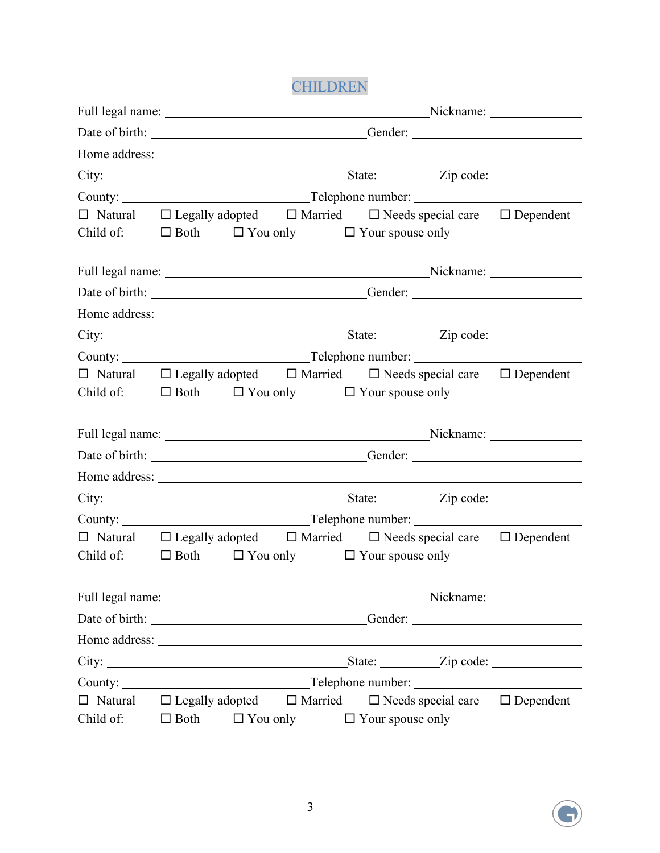CHILDREN

|                                                                        |             |                 |  |                         | Full legal name: Nickname: Nickname: Nickname:                                                                                                                                                                                      |  |
|------------------------------------------------------------------------|-------------|-----------------|--|-------------------------|-------------------------------------------------------------------------------------------------------------------------------------------------------------------------------------------------------------------------------------|--|
|                                                                        |             |                 |  |                         |                                                                                                                                                                                                                                     |  |
|                                                                        |             |                 |  |                         |                                                                                                                                                                                                                                     |  |
|                                                                        |             |                 |  |                         | City: <u>City:</u> City: City: City: City: City: City: City: City: City: City: City: City: City: City: City: City: City: City: City: City: City: City: City: City: City: City: City: City: City: City: City: City: City: City: City |  |
|                                                                        |             |                 |  |                         |                                                                                                                                                                                                                                     |  |
|                                                                        |             |                 |  |                         | $\Box$ Natural $\Box$ Legally adopted $\Box$ Married $\Box$ Needs special care $\Box$ Dependent                                                                                                                                     |  |
| Child of: $\square$ Both $\square$ You only $\square$ Your spouse only |             |                 |  |                         |                                                                                                                                                                                                                                     |  |
|                                                                        |             |                 |  |                         |                                                                                                                                                                                                                                     |  |
|                                                                        |             |                 |  |                         | Full legal name: Nickname: Nickname: Nickname: Nickname: Nickname: Nickname: Nickname: Nickname: Nickname: Nickname: Nickname: Nickname: Nickname: Nickname: Nickname: Nickname: Nickname: Nickname: Nickname: Nickname: Nickn      |  |
|                                                                        |             |                 |  |                         | Date of birth: Contact Contact Contact Contact Contact Contact Contact Contact Contact Contact Contact Contact Contact Contact Contact Contact Contact Contact Contact Contact Contact Contact Contact Contact Contact Contact      |  |
|                                                                        |             |                 |  |                         |                                                                                                                                                                                                                                     |  |
|                                                                        |             |                 |  |                         |                                                                                                                                                                                                                                     |  |
|                                                                        |             |                 |  |                         |                                                                                                                                                                                                                                     |  |
|                                                                        |             |                 |  |                         | $\Box$ Natural $\Box$ Legally adopted $\Box$ Married $\Box$ Needs special care $\Box$ Dependent                                                                                                                                     |  |
| Child of: $\square$ Both $\square$ You only $\square$ Your spouse only |             |                 |  |                         |                                                                                                                                                                                                                                     |  |
|                                                                        |             |                 |  |                         |                                                                                                                                                                                                                                     |  |
|                                                                        |             |                 |  |                         | Full legal name: Nickname: Nickname: Nickname: Nickname: Nickname: Nickname: Nickname: Nickname: Nickname: Nickname: Nickname: Nickname: Nickname: Nickname: Nickname: Nickname: Nickname: Nickname: Nickname: Nickname: Nickn      |  |
|                                                                        |             |                 |  |                         |                                                                                                                                                                                                                                     |  |
|                                                                        |             |                 |  |                         |                                                                                                                                                                                                                                     |  |
|                                                                        |             |                 |  |                         |                                                                                                                                                                                                                                     |  |
|                                                                        |             |                 |  |                         |                                                                                                                                                                                                                                     |  |
|                                                                        |             |                 |  |                         | $\Box$ Natural $\Box$ Legally adopted $\Box$ Married $\Box$ Needs special care $\Box$ Dependent                                                                                                                                     |  |
| Child of: $\square$ Both $\square$ You only $\square$ Your spouse only |             |                 |  |                         |                                                                                                                                                                                                                                     |  |
|                                                                        |             |                 |  |                         |                                                                                                                                                                                                                                     |  |
|                                                                        |             |                 |  |                         |                                                                                                                                                                                                                                     |  |
|                                                                        |             |                 |  |                         | Gender: New York Contract of the Contract of the Contract of the Contract of the Contract of the Contract of the Contract of the Contract of the Contract of the Contract of the Contract of the Contract of the Contract of t      |  |
|                                                                        |             |                 |  |                         |                                                                                                                                                                                                                                     |  |
|                                                                        |             |                 |  |                         | State: <u>Zip</u> code:                                                                                                                                                                                                             |  |
|                                                                        |             |                 |  |                         |                                                                                                                                                                                                                                     |  |
| $\Box$ Natural $\Box$ Legally adopted $\Box$ Married                   |             |                 |  |                         | $\Box$ Needs special care $\Box$ Dependent                                                                                                                                                                                          |  |
| Child of:                                                              | $\Box$ Both | $\Box$ You only |  | $\Box$ Your spouse only |                                                                                                                                                                                                                                     |  |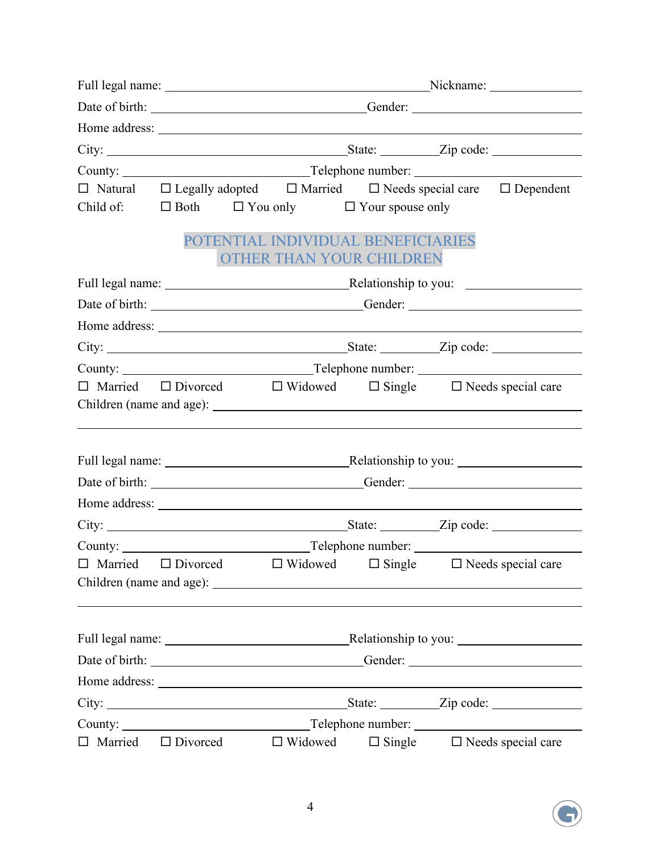|                |                                                                                   | Full legal name: Nickname: Nickname: Nickname:                         |  |                                                                                                 |  |
|----------------|-----------------------------------------------------------------------------------|------------------------------------------------------------------------|--|-------------------------------------------------------------------------------------------------|--|
|                |                                                                                   |                                                                        |  |                                                                                                 |  |
|                |                                                                                   |                                                                        |  |                                                                                                 |  |
|                |                                                                                   |                                                                        |  |                                                                                                 |  |
|                |                                                                                   |                                                                        |  |                                                                                                 |  |
|                |                                                                                   |                                                                        |  | $\Box$ Natural $\Box$ Legally adopted $\Box$ Married $\Box$ Needs special care $\Box$ Dependent |  |
|                |                                                                                   | Child of: $\square$ Both $\square$ You only $\square$ Your spouse only |  |                                                                                                 |  |
|                |                                                                                   | POTENTIAL INDIVIDUAL BENEFICIARIES<br>OTHER THAN YOUR CHILDREN         |  |                                                                                                 |  |
|                |                                                                                   |                                                                        |  |                                                                                                 |  |
|                |                                                                                   |                                                                        |  |                                                                                                 |  |
|                |                                                                                   |                                                                        |  |                                                                                                 |  |
|                |                                                                                   |                                                                        |  |                                                                                                 |  |
|                |                                                                                   |                                                                        |  |                                                                                                 |  |
|                |                                                                                   |                                                                        |  | $\Box$ Married $\Box$ Divorced $\Box$ Widowed $\Box$ Single $\Box$ Needs special care           |  |
|                |                                                                                   |                                                                        |  |                                                                                                 |  |
|                |                                                                                   |                                                                        |  |                                                                                                 |  |
|                |                                                                                   |                                                                        |  |                                                                                                 |  |
|                |                                                                                   |                                                                        |  | Full legal name: <u>Netational Relationship</u> to you: Netationship to you:                    |  |
|                |                                                                                   |                                                                        |  |                                                                                                 |  |
|                |                                                                                   |                                                                        |  |                                                                                                 |  |
|                |                                                                                   |                                                                        |  |                                                                                                 |  |
|                |                                                                                   |                                                                        |  |                                                                                                 |  |
| $\Box$ Married |                                                                                   |                                                                        |  | $\Box$ Divorced $\Box$ Widowed $\Box$ Single $\Box$ Needs special care                          |  |
|                |                                                                                   |                                                                        |  |                                                                                                 |  |
|                |                                                                                   |                                                                        |  |                                                                                                 |  |
|                |                                                                                   |                                                                        |  | Full legal name: Relationship to you:                                                           |  |
|                | Date of birth: ___________________________________Gender: _______________________ |                                                                        |  |                                                                                                 |  |
|                |                                                                                   |                                                                        |  |                                                                                                 |  |
|                |                                                                                   |                                                                        |  |                                                                                                 |  |
|                |                                                                                   |                                                                        |  |                                                                                                 |  |
|                |                                                                                   | Married $\Box$ Divorced $\Box$ Widowed                                 |  | $\Box$ Single $\Box$ Needs special care                                                         |  |

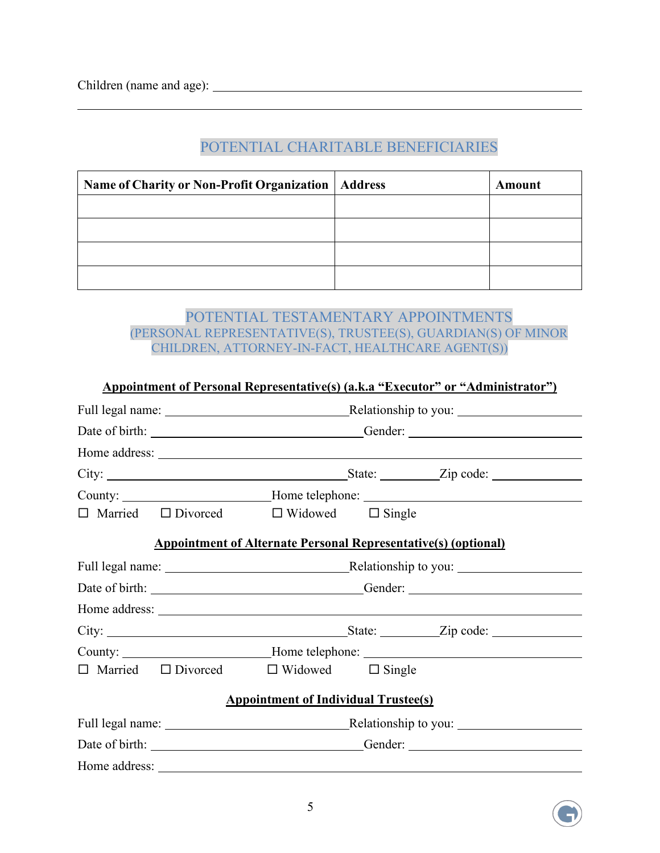$\overline{a}$ 

| Name of Charity or Non-Profit Organization   Address | Amount |
|------------------------------------------------------|--------|
|                                                      |        |
|                                                      |        |
|                                                      |        |
|                                                      |        |

## POTENTIAL CHARITABLE BENEFICIARIES

#### POTENTIAL TESTAMENTARY APPOINTMENTS (PERSONAL REPRESENTATIVE(S), TRUSTEE(S), GUARDIAN(S) OF MINOR CHILDREN, ATTORNEY-IN-FACT, HEALTHCARE AGENT(S))

|  |                                                                       |  | <b>Appointment of Personal Representative(s) (a.k.a "Executor" or "Administrator")</b> |  |
|--|-----------------------------------------------------------------------|--|----------------------------------------------------------------------------------------|--|
|  |                                                                       |  |                                                                                        |  |
|  |                                                                       |  | Date of birth: ___________________________________Gender: _______________________      |  |
|  |                                                                       |  |                                                                                        |  |
|  |                                                                       |  |                                                                                        |  |
|  |                                                                       |  | County: __________________________Home telephone: ______________________________       |  |
|  | $\Box$ Married $\Box$ Divorced $\Box$ Widowed $\Box$ Single           |  |                                                                                        |  |
|  | <b>Appointment of Alternate Personal Representative(s) (optional)</b> |  |                                                                                        |  |
|  |                                                                       |  | Full legal name: <u>Netationship</u> to you: Netationship to you:                      |  |
|  |                                                                       |  |                                                                                        |  |
|  |                                                                       |  |                                                                                        |  |
|  |                                                                       |  |                                                                                        |  |
|  |                                                                       |  | County: __________________________Home telephone: ______________________________       |  |
|  | $\Box$ Married $\Box$ Divorced $\Box$ Widowed $\Box$ Single           |  |                                                                                        |  |
|  | <b>Appointment of Individual Trustee(s)</b>                           |  |                                                                                        |  |
|  |                                                                       |  |                                                                                        |  |
|  |                                                                       |  |                                                                                        |  |
|  |                                                                       |  |                                                                                        |  |

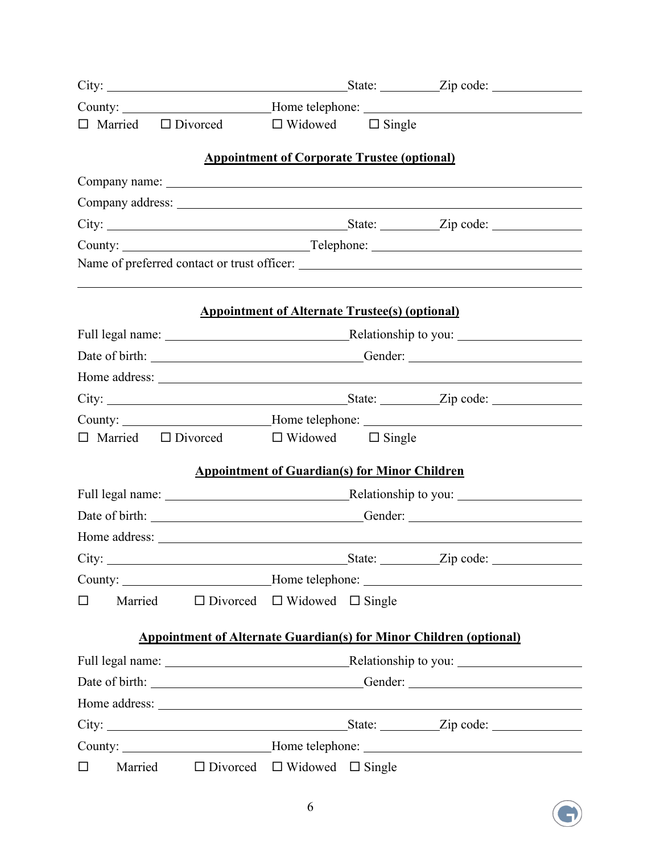|        |                                                                           |                                                       | County: _________________________Home telephone: _______________________________                                     |
|--------|---------------------------------------------------------------------------|-------------------------------------------------------|----------------------------------------------------------------------------------------------------------------------|
|        | $\Box$ Married $\Box$ Divorced $\Box$ Widowed $\Box$ Single               |                                                       |                                                                                                                      |
|        |                                                                           | <b>Appointment of Corporate Trustee (optional)</b>    |                                                                                                                      |
|        |                                                                           |                                                       |                                                                                                                      |
|        |                                                                           |                                                       |                                                                                                                      |
|        |                                                                           |                                                       |                                                                                                                      |
|        |                                                                           |                                                       |                                                                                                                      |
|        |                                                                           |                                                       | <u> 1989 - Andrea Santa Andrea Andrea Andrea Andrea Andrea Andrea Andrea Andrea Andrea Andrea Andrea Andrea Andr</u> |
|        |                                                                           | <b>Appointment of Alternate Trustee(s) (optional)</b> |                                                                                                                      |
|        |                                                                           |                                                       |                                                                                                                      |
|        |                                                                           |                                                       | Date of birth: ________________________________Gender: __________________________                                    |
|        |                                                                           |                                                       |                                                                                                                      |
|        |                                                                           |                                                       |                                                                                                                      |
|        |                                                                           |                                                       | County: ____________________________Home telephone: ____________________________                                     |
|        | $\Box$ Married $\Box$ Divorced $\Box$ Widowed $\Box$ Single               |                                                       |                                                                                                                      |
|        |                                                                           | <b>Appointment of Guardian(s) for Minor Children</b>  |                                                                                                                      |
|        |                                                                           |                                                       |                                                                                                                      |
|        |                                                                           |                                                       | Date of birth: _______________________________Gender: ___________________________                                    |
|        |                                                                           |                                                       |                                                                                                                      |
|        |                                                                           |                                                       |                                                                                                                      |
|        |                                                                           |                                                       | County: ___________________________Home telephone: _____________________________                                     |
| $\Box$ | Married $\Box$ Divorced $\Box$ Widowed $\Box$ Single                      |                                                       |                                                                                                                      |
|        | <b>Appointment of Alternate Guardian(s) for Minor Children (optional)</b> |                                                       |                                                                                                                      |
|        |                                                                           |                                                       |                                                                                                                      |
|        |                                                                           |                                                       | Date of birth: _______________________________Gender: ___________________________                                    |
|        |                                                                           |                                                       |                                                                                                                      |
|        |                                                                           |                                                       |                                                                                                                      |
|        |                                                                           |                                                       | County: _____________________________Home telephone: ___________________________                                     |
| $\Box$ | Married $\Box$ Divorced $\Box$ Widowed $\Box$ Single                      |                                                       |                                                                                                                      |

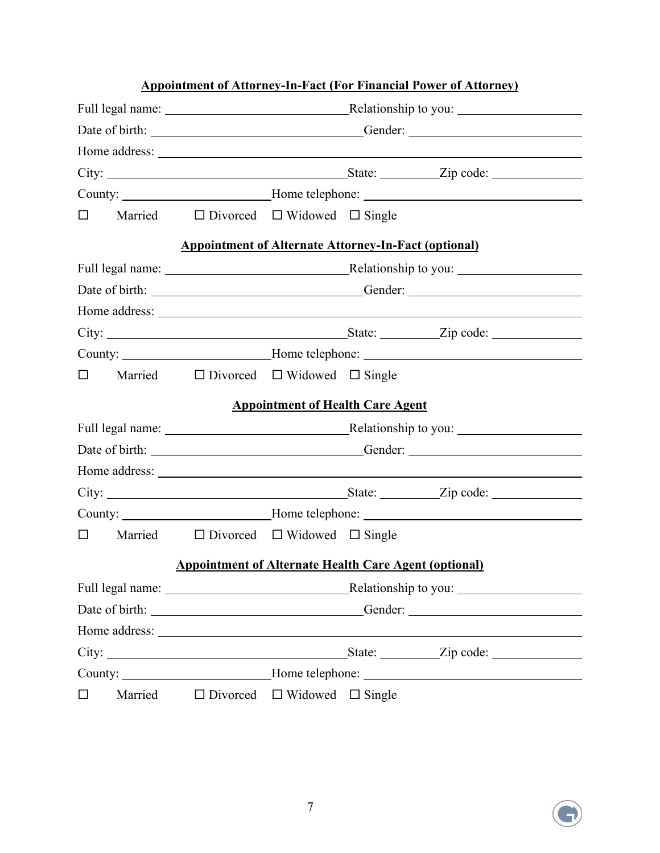|        |         |                                                                                   |                                              |  | <b>Appointment of Attorney-In-Fact (For Financial Power of Attorney)</b>          |
|--------|---------|-----------------------------------------------------------------------------------|----------------------------------------------|--|-----------------------------------------------------------------------------------|
|        |         | Full legal name: <u>Nelationship</u> to you: Nelationship to you:                 |                                              |  |                                                                                   |
|        |         | Date of birth: __________________________________Gender: ________________________ |                                              |  |                                                                                   |
|        |         |                                                                                   |                                              |  |                                                                                   |
|        |         |                                                                                   |                                              |  |                                                                                   |
|        |         |                                                                                   |                                              |  | County: ____________________________Home telephone: ____________________________  |
| $\Box$ |         | Married $\Box$ Divorced $\Box$ Widowed $\Box$ Single                              |                                              |  |                                                                                   |
|        |         | <b>Appointment of Alternate Attorney-In-Fact (optional)</b>                       |                                              |  |                                                                                   |
|        |         |                                                                                   |                                              |  | Full legal name: <u>Nelationship</u> to you: Nelationship to you:                 |
|        |         |                                                                                   |                                              |  | Date of birth: _________________________________Gender: _________________________ |
|        |         |                                                                                   |                                              |  |                                                                                   |
|        |         |                                                                                   |                                              |  |                                                                                   |
|        |         |                                                                                   |                                              |  | County: ___________________________Home telephone: _____________________________  |
| $\Box$ |         | Married $\Box$ Divorced $\Box$ Widowed $\Box$ Single                              |                                              |  |                                                                                   |
|        |         |                                                                                   | <b>Appointment of Health Care Agent</b>      |  |                                                                                   |
|        |         |                                                                                   |                                              |  | Full legal name: <u>Netationship</u> to you: Netationship to you:                 |
|        |         |                                                                                   |                                              |  |                                                                                   |
|        |         |                                                                                   |                                              |  |                                                                                   |
|        |         |                                                                                   |                                              |  |                                                                                   |
|        |         |                                                                                   |                                              |  | County: _________________________Home telephone: _______________________________  |
| 0      |         | Married $\Box$ Divorced $\Box$ Widowed $\Box$ Single                              |                                              |  |                                                                                   |
|        |         | <b>Appointment of Alternate Health Care Agent (optional)</b>                      |                                              |  |                                                                                   |
|        |         |                                                                                   |                                              |  |                                                                                   |
|        |         |                                                                                   |                                              |  | Date of birth: __________________________________Gender: ________________________ |
|        |         |                                                                                   |                                              |  |                                                                                   |
|        |         |                                                                                   |                                              |  |                                                                                   |
|        |         |                                                                                   |                                              |  | County: ____________________________Home telephone: ____________________________  |
| $\Box$ | Married |                                                                                   | $\Box$ Divorced $\Box$ Widowed $\Box$ Single |  |                                                                                   |

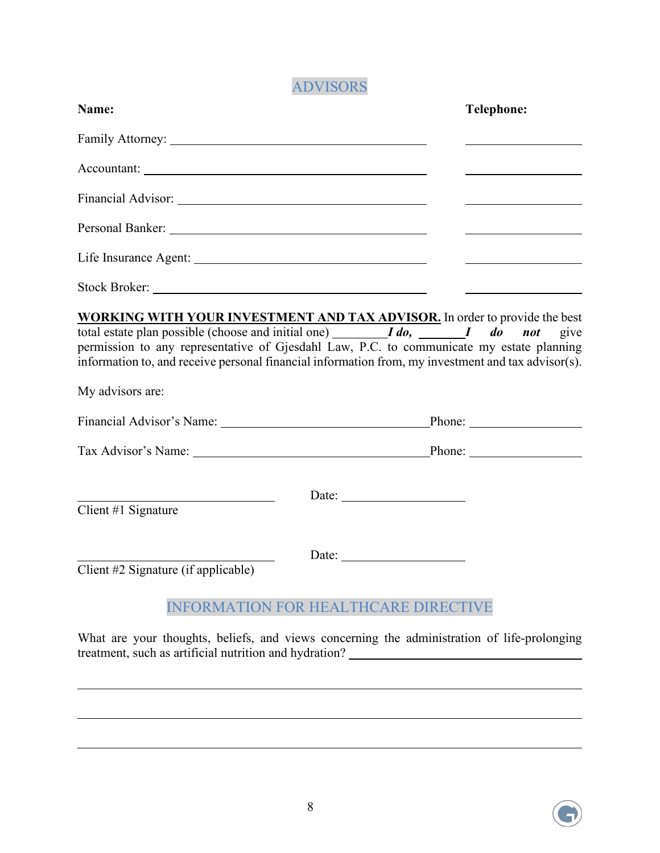# ADVISORS

| Name:                                                                                                                                                                                                                                                                                                      |                                             | <b>Telephone:</b>    |
|------------------------------------------------------------------------------------------------------------------------------------------------------------------------------------------------------------------------------------------------------------------------------------------------------------|---------------------------------------------|----------------------|
|                                                                                                                                                                                                                                                                                                            |                                             |                      |
|                                                                                                                                                                                                                                                                                                            |                                             |                      |
|                                                                                                                                                                                                                                                                                                            |                                             |                      |
|                                                                                                                                                                                                                                                                                                            |                                             |                      |
|                                                                                                                                                                                                                                                                                                            |                                             |                      |
|                                                                                                                                                                                                                                                                                                            |                                             |                      |
| total estate plan possible (choose and initial one) $I\, do$ , $I\, do$ $I\, do$ not<br>permission to any representative of Gjesdahl Law, P.C. to communicate my estate planning<br>information to, and receive personal financial information from, my investment and tax advisor(s).<br>My advisors are: |                                             | give                 |
|                                                                                                                                                                                                                                                                                                            |                                             | Phone: New York 1999 |
| Tax Advisor's Name: Phone: Phone:                                                                                                                                                                                                                                                                          |                                             |                      |
| Client #1 Signature                                                                                                                                                                                                                                                                                        |                                             |                      |
| Client #2 Signature (if applicable)                                                                                                                                                                                                                                                                        |                                             |                      |
|                                                                                                                                                                                                                                                                                                            | <b>INFORMATION FOR HEALTHCARE DIRECTIVE</b> |                      |

What are your thoughts, beliefs, and views concerning the administration of life-prolonging treatment, such as artificial nutrition and hydration?



 $\overline{a}$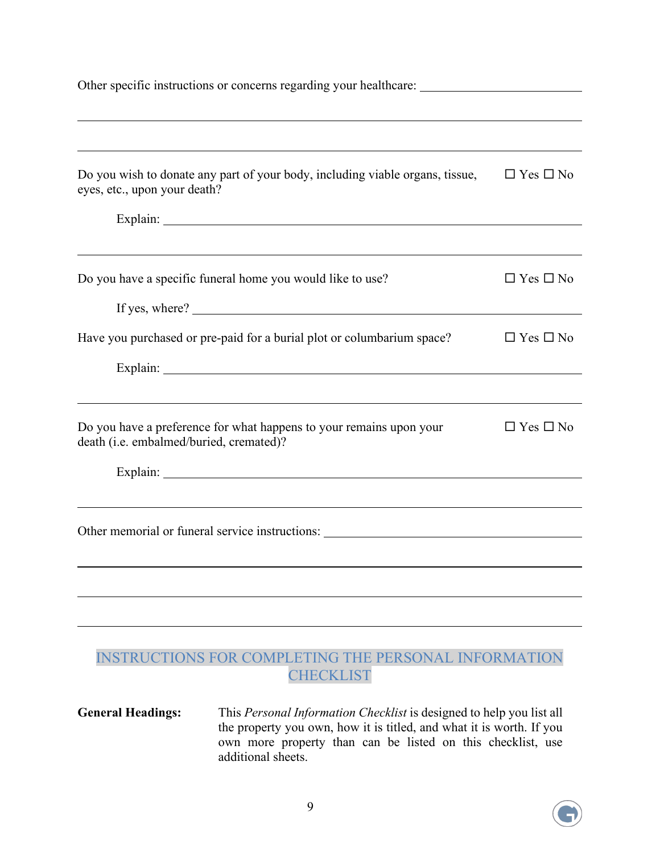| Do you wish to donate any part of your body, including viable organs, tissue,<br>eyes, etc., upon your death?                                                     | $\Box$ Yes $\Box$ No |  |  |
|-------------------------------------------------------------------------------------------------------------------------------------------------------------------|----------------------|--|--|
|                                                                                                                                                                   |                      |  |  |
| Do you have a specific funeral home you would like to use?<br>If yes, where? $\sqrt{\frac{2}{1-\frac{1}{2}} + \frac{1}{2-\frac{1}{2}} + \frac{1}{2-\frac{1}{2}}}$ | $\Box$ Yes $\Box$ No |  |  |
| Have you purchased or pre-paid for a burial plot or columbarium space?                                                                                            | $\Box$ Yes $\Box$ No |  |  |
| ,我们也不能在这里的时候,我们也不能在这里的时候,我们也不能会在这里的时候,我们也不能会在这里的时候,我们也不能会在这里的时候,我们也不能会在这里的时候,我们也                                                                                  |                      |  |  |
| Do you have a preference for what happens to your remains upon your<br>death (i.e. embalmed/buried, cremated)?                                                    | $\Box$ Yes $\Box$ No |  |  |
|                                                                                                                                                                   |                      |  |  |
| Other memorial or funeral service instructions: ________________________________                                                                                  |                      |  |  |
|                                                                                                                                                                   |                      |  |  |
|                                                                                                                                                                   |                      |  |  |
|                                                                                                                                                                   |                      |  |  |
|                                                                                                                                                                   |                      |  |  |

#### INSTRUCTIONS FOR COMPLETING THE PERSONAL INFORMATION **CHECKLIST**

**General Headings:** This *Personal Information Checklist* is designed to help you list all the property you own, how it is titled, and what it is worth. If you own more property than can be listed on this checklist, use additional sheets.

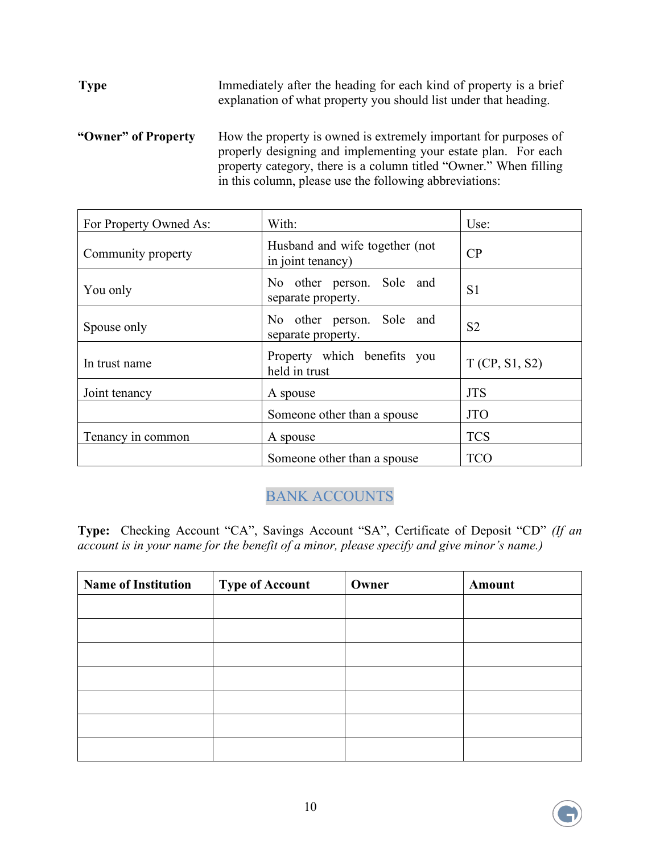**Type** Immediately after the heading for each kind of property is a brief explanation of what property you should list under that heading.

**"Owner" of Property** How the property is owned is extremely important for purposes of properly designing and implementing your estate plan. For each property category, there is a column titled "Owner." When filling in this column, please use the following abbreviations:

| For Property Owned As: | With:                                               | Use:           |
|------------------------|-----------------------------------------------------|----------------|
| Community property     | Husband and wife together (not<br>in joint tenancy) | CP             |
| You only               | No other person. Sole and<br>separate property.     | S1             |
| Spouse only            | No other person. Sole and<br>separate property.     | S <sub>2</sub> |
| In trust name          | Property which benefits you<br>held in trust        | T(CP, S1, S2)  |
| Joint tenancy          | A spouse                                            | <b>JTS</b>     |
|                        | Someone other than a spouse                         | <b>JTO</b>     |
| Tenancy in common      | A spouse                                            | <b>TCS</b>     |
|                        | Someone other than a spouse                         | <b>TCO</b>     |

## BANK ACCOUNTS

**Type:** Checking Account "CA", Savings Account "SA", Certificate of Deposit "CD" *(If an account is in your name for the benefit of a minor, please specify and give minor's name.)*

| <b>Name of Institution</b> | <b>Type of Account</b> | Owner | Amount |
|----------------------------|------------------------|-------|--------|
|                            |                        |       |        |
|                            |                        |       |        |
|                            |                        |       |        |
|                            |                        |       |        |
|                            |                        |       |        |
|                            |                        |       |        |
|                            |                        |       |        |

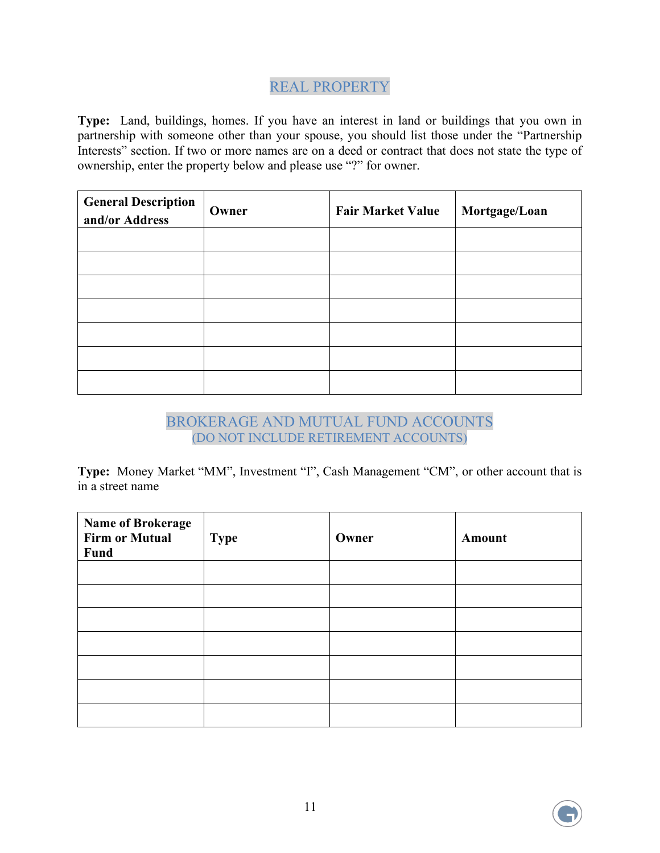### REAL PROPERTY

**Type:** Land, buildings, homes. If you have an interest in land or buildings that you own in partnership with someone other than your spouse, you should list those under the "Partnership Interests" section. If two or more names are on a deed or contract that does not state the type of ownership, enter the property below and please use "?" for owner.

| <b>General Description</b><br>and/or Address | Owner | <b>Fair Market Value</b> | Mortgage/Loan |
|----------------------------------------------|-------|--------------------------|---------------|
|                                              |       |                          |               |
|                                              |       |                          |               |
|                                              |       |                          |               |
|                                              |       |                          |               |
|                                              |       |                          |               |
|                                              |       |                          |               |
|                                              |       |                          |               |

#### BROKERAGE AND MUTUAL FUND ACCOUNTS (DO NOT INCLUDE RETIREMENT ACCOUNTS)

Type: Money Market "MM", Investment "I", Cash Management "CM", or other account that is in a street name

| <b>Name of Brokerage</b><br><b>Firm or Mutual</b><br>Fund | <b>Type</b> | Owner | Amount |
|-----------------------------------------------------------|-------------|-------|--------|
|                                                           |             |       |        |
|                                                           |             |       |        |
|                                                           |             |       |        |
|                                                           |             |       |        |
|                                                           |             |       |        |
|                                                           |             |       |        |
|                                                           |             |       |        |

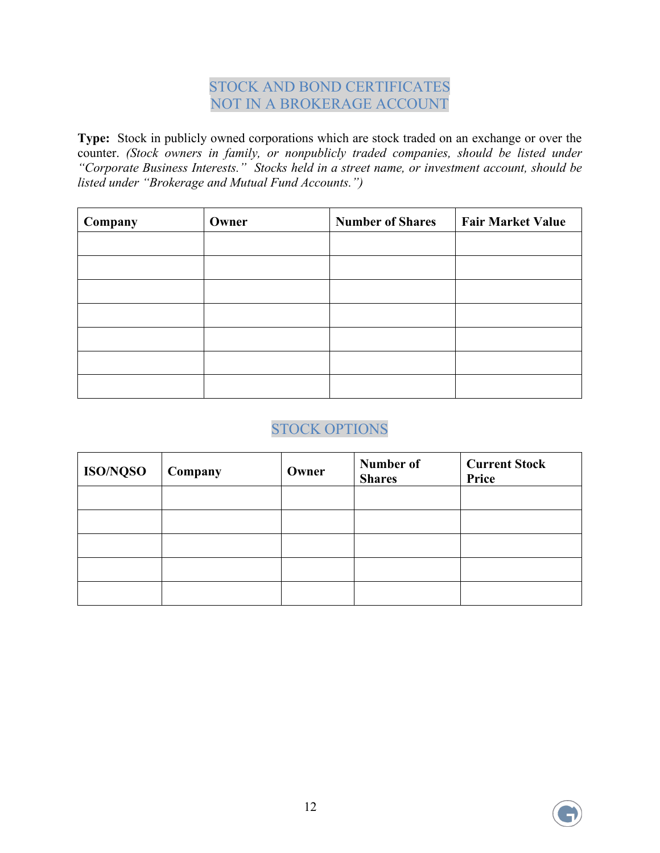## STOCK AND BOND CERTIFICATES NOT IN A BROKERAGE ACCOUNT

**Type:** Stock in publicly owned corporations which are stock traded on an exchange or over the counter. *(Stock owners in family, or nonpublicly traded companies, should be listed under "Corporate Business Interests." Stocks held in a street name, or investment account, should be listed under "Brokerage and Mutual Fund Accounts.")*

| Company | Owner | <b>Number of Shares</b> | <b>Fair Market Value</b> |
|---------|-------|-------------------------|--------------------------|
|         |       |                         |                          |
|         |       |                         |                          |
|         |       |                         |                          |
|         |       |                         |                          |
|         |       |                         |                          |
|         |       |                         |                          |
|         |       |                         |                          |

# STOCK OPTIONS

| ISO/NQSO | Company | Owner | Number of<br><b>Shares</b> | <b>Current Stock</b><br>Price |
|----------|---------|-------|----------------------------|-------------------------------|
|          |         |       |                            |                               |
|          |         |       |                            |                               |
|          |         |       |                            |                               |
|          |         |       |                            |                               |
|          |         |       |                            |                               |

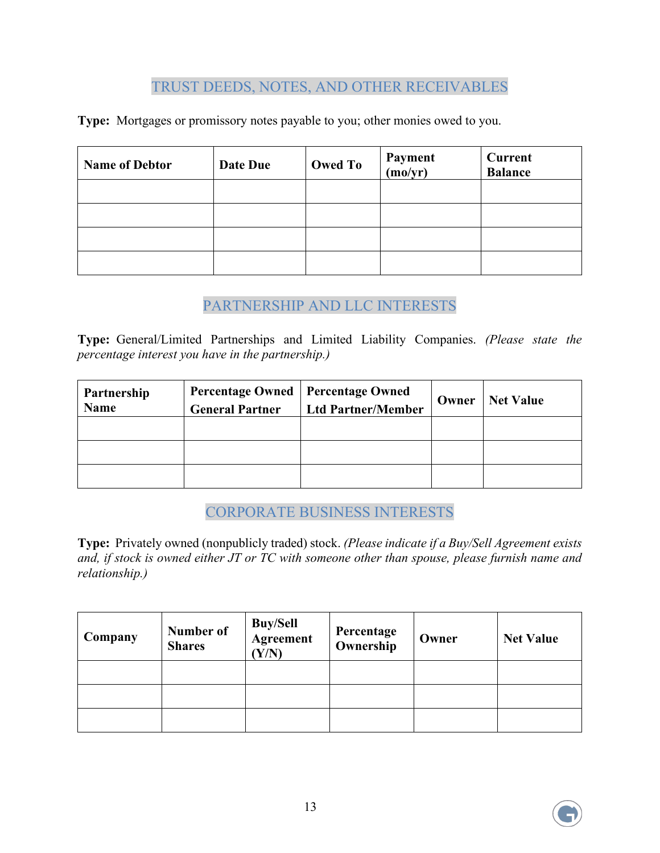#### TRUST DEEDS, NOTES, AND OTHER RECEIVABLES

**Type:** Mortgages or promissory notes payable to you; other monies owed to you.

| <b>Name of Debtor</b> | Date Due | <b>Owed To</b> | Payment<br>(mo/yr) | Current<br><b>Balance</b> |
|-----------------------|----------|----------------|--------------------|---------------------------|
|                       |          |                |                    |                           |
|                       |          |                |                    |                           |
|                       |          |                |                    |                           |
|                       |          |                |                    |                           |

### PARTNERSHIP AND LLC INTERESTS

**Type:** General/Limited Partnerships and Limited Liability Companies. *(Please state the percentage interest you have in the partnership.)* 

| Partnership<br><b>Name</b> | <b>Percentage Owned   Percentage Owned</b><br><b>General Partner</b> | <b>Ltd Partner/Member</b> | Owner | <b>Net Value</b> |
|----------------------------|----------------------------------------------------------------------|---------------------------|-------|------------------|
|                            |                                                                      |                           |       |                  |
|                            |                                                                      |                           |       |                  |
|                            |                                                                      |                           |       |                  |

CORPORATE BUSINESS INTERESTS

**Type:** Privately owned (nonpublicly traded) stock. *(Please indicate if a Buy/Sell Agreement exists and, if stock is owned either JT or TC with someone other than spouse, please furnish name and relationship.)*

| Company | Number of<br><b>Shares</b> | <b>Buy/Sell</b><br>Agreement<br>Y/N | <b>Percentage</b><br><b>Ownership</b> | Owner | <b>Net Value</b> |
|---------|----------------------------|-------------------------------------|---------------------------------------|-------|------------------|
|         |                            |                                     |                                       |       |                  |
|         |                            |                                     |                                       |       |                  |
|         |                            |                                     |                                       |       |                  |

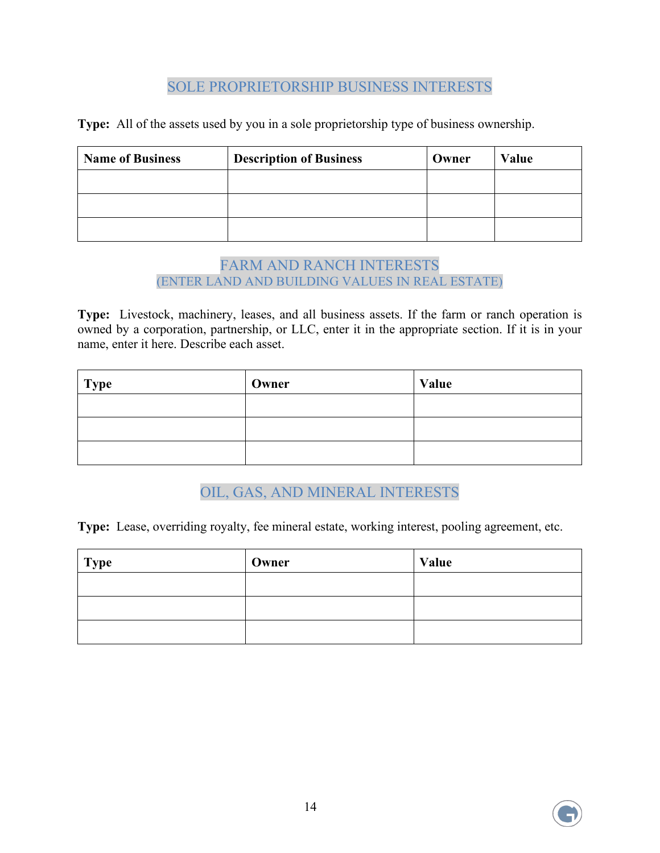#### SOLE PROPRIETORSHIP BUSINESS INTERESTS

**Type:** All of the assets used by you in a sole proprietorship type of business ownership.

| <b>Name of Business</b> | <b>Description of Business</b> | Owner | Value |
|-------------------------|--------------------------------|-------|-------|
|                         |                                |       |       |
|                         |                                |       |       |
|                         |                                |       |       |

#### FARM AND RANCH INTERESTS (ENTER LAND AND BUILDING VALUES IN REAL ESTATE)

**Type:** Livestock, machinery, leases, and all business assets. If the farm or ranch operation is owned by a corporation, partnership, or LLC, enter it in the appropriate section. If it is in your name, enter it here. Describe each asset.

| <b>Type</b> | Owner | Value |
|-------------|-------|-------|
|             |       |       |
|             |       |       |
|             |       |       |

# OIL, GAS, AND MINERAL INTERESTS

**Type:** Lease, overriding royalty, fee mineral estate, working interest, pooling agreement, etc.

| <b>Type</b> | Owner | Value |
|-------------|-------|-------|
|             |       |       |
|             |       |       |
|             |       |       |

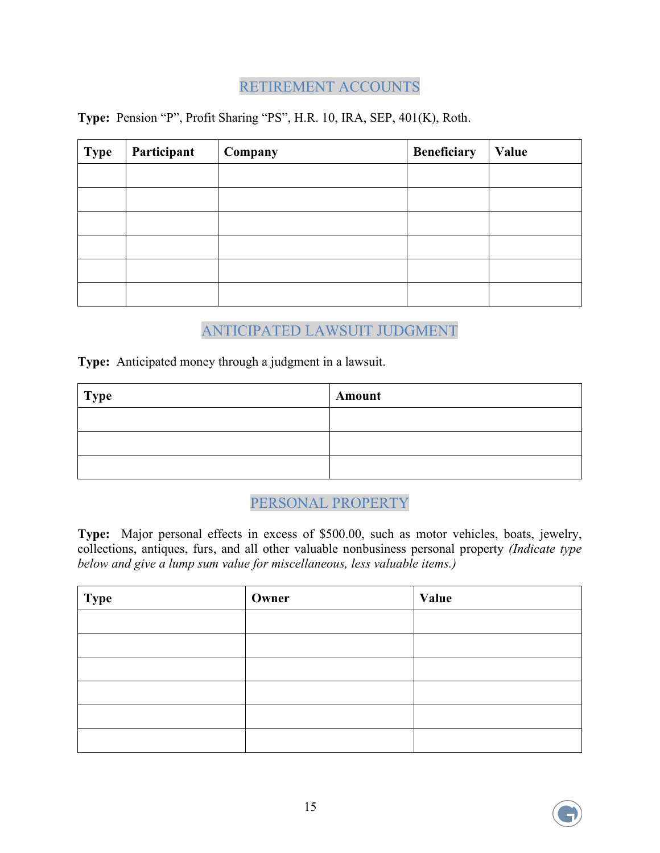# RETIREMENT ACCOUNTS

**Type:** Pension "P", Profit Sharing "PS", H.R. 10, IRA, SEP, 401(K), Roth.

| <b>Type</b> | Participant | Company | <b>Beneficiary</b> | Value |
|-------------|-------------|---------|--------------------|-------|
|             |             |         |                    |       |
|             |             |         |                    |       |
|             |             |         |                    |       |
|             |             |         |                    |       |
|             |             |         |                    |       |
|             |             |         |                    |       |

### ANTICIPATED LAWSUIT JUDGMENT

**Type:** Anticipated money through a judgment in a lawsuit.

| <b>Type</b> | Amount |
|-------------|--------|
|             |        |
|             |        |
|             |        |

#### PERSONAL PROPERTY

**Type:** Major personal effects in excess of \$500.00, such as motor vehicles, boats, jewelry, collections, antiques, furs, and all other valuable nonbusiness personal property *(Indicate type below and give a lump sum value for miscellaneous, less valuable items.)* 

| <b>Type</b> | Owner | Value |
|-------------|-------|-------|
|             |       |       |
|             |       |       |
|             |       |       |
|             |       |       |
|             |       |       |
|             |       |       |

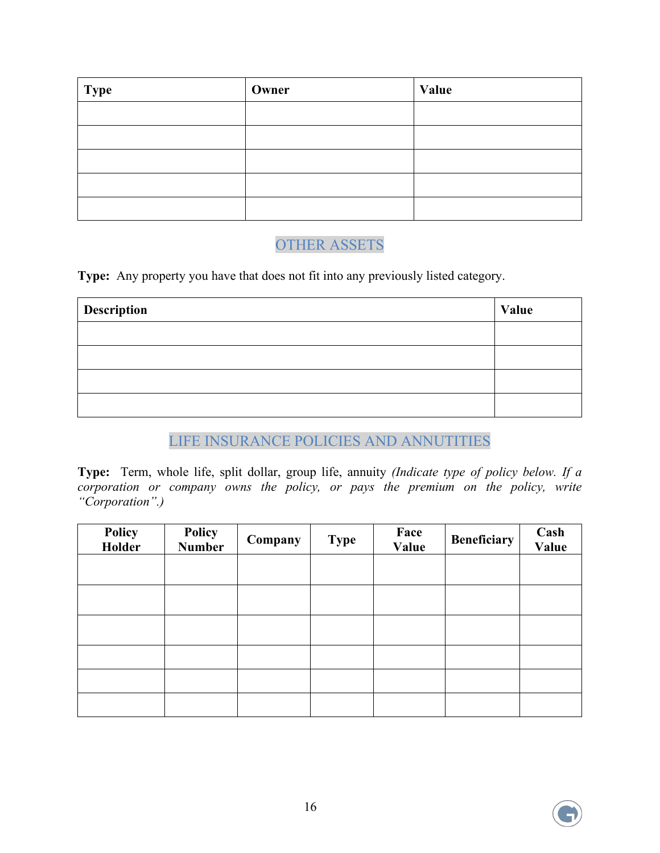| <b>Type</b> | Owner | Value |
|-------------|-------|-------|
|             |       |       |
|             |       |       |
|             |       |       |
|             |       |       |
|             |       |       |

## OTHER ASSETS

**Type:** Any property you have that does not fit into any previously listed category.

| Description | Value |
|-------------|-------|
|             |       |
|             |       |
|             |       |
|             |       |

### LIFE INSURANCE POLICIES AND ANNUTITIES

**Type:** Term, whole life, split dollar, group life, annuity *(Indicate type of policy below. If a corporation or company owns the policy, or pays the premium on the policy, write "Corporation".)*

| Policy<br>Holder | Policy<br>Number | Company | <b>Type</b> | Face<br>Value | <b>Beneficiary</b> | <b>Cash</b><br>Value |
|------------------|------------------|---------|-------------|---------------|--------------------|----------------------|
|                  |                  |         |             |               |                    |                      |
|                  |                  |         |             |               |                    |                      |
|                  |                  |         |             |               |                    |                      |
|                  |                  |         |             |               |                    |                      |
|                  |                  |         |             |               |                    |                      |
|                  |                  |         |             |               |                    |                      |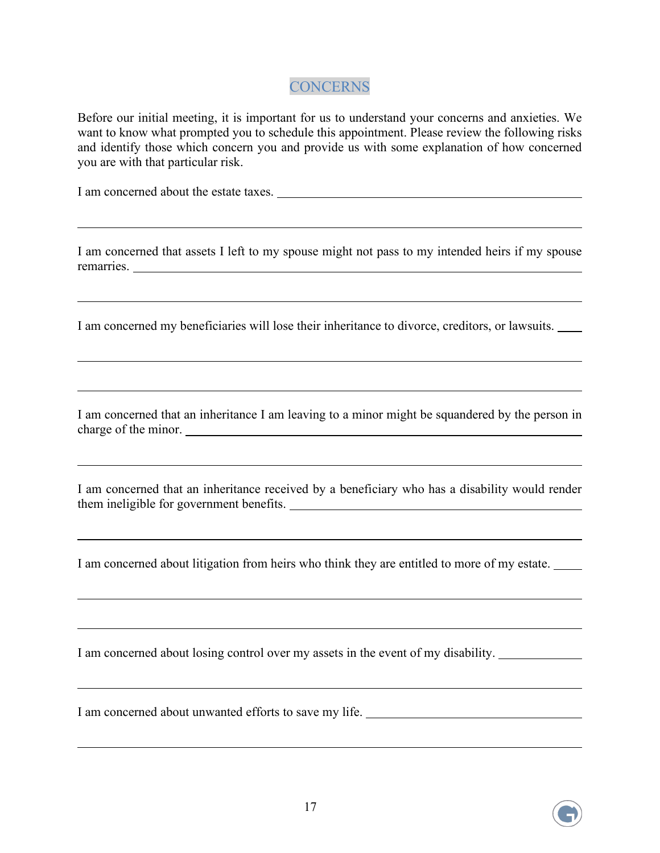#### **CONCERNS**

Before our initial meeting, it is important for us to understand your concerns and anxieties. We want to know what prompted you to schedule this appointment. Please review the following risks and identify those which concern you and provide us with some explanation of how concerned you are with that particular risk.

I am concerned about the estate taxes.

 $\overline{a}$ 

 $\overline{a}$ 

 $\overline{a}$ 

 $\overline{a}$ 

 $\overline{a}$ 

 $\overline{a}$ 

 $\overline{a}$ 

 $\overline{a}$ 

I am concerned that assets I left to my spouse might not pass to my intended heirs if my spouse remarries.

I am concerned my beneficiaries will lose their inheritance to divorce, creditors, or lawsuits.

I am concerned that an inheritance I am leaving to a minor might be squandered by the person in charge of the minor.  $\sqrt{a}$ 

I am concerned that an inheritance received by a beneficiary who has a disability would render them ineligible for government benefits.

I am concerned about litigation from heirs who think they are entitled to more of my estate.

I am concerned about losing control over my assets in the event of my disability.

I am concerned about unwanted efforts to save my life.

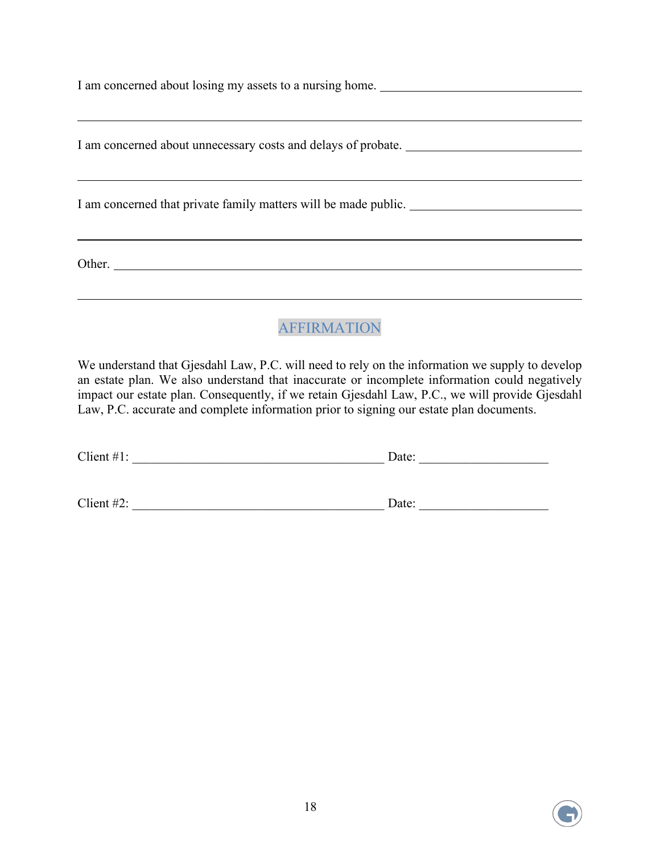I am concerned about losing my assets to a nursing home. \_\_\_\_\_\_\_\_\_\_\_\_\_\_\_\_\_\_\_\_\_\_\_\_

I am concerned about unnecessary costs and delays of probate.

I am concerned that private family matters will be made public.

Other.

 $\overline{a}$ 

 $\overline{a}$ 

 $\overline{a}$ 

## AFFIRMATION

We understand that Gjesdahl Law, P.C. will need to rely on the information we supply to develop an estate plan. We also understand that inaccurate or incomplete information could negatively impact our estate plan. Consequently, if we retain Gjesdahl Law, P.C., we will provide Gjesdahl Law, P.C. accurate and complete information prior to signing our estate plan documents.

| Client $#1$ : | Date: |  |  |
|---------------|-------|--|--|
|               |       |  |  |
| Client $#2$ : | Date: |  |  |